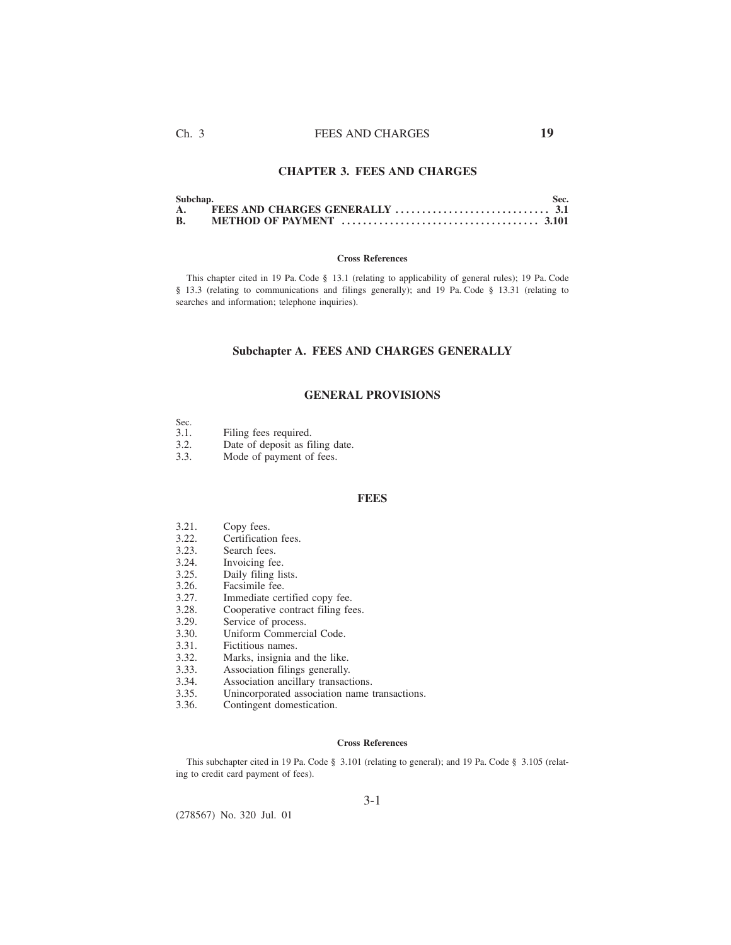# **CHAPTER 3. FEES AND CHARGES**

| Subchap. | Sec. |
|----------|------|
|          |      |
|          |      |

### **Cross References**

This chapter cited in 19 Pa. Code § 13.1 (relating to applicability of general rules); 19 Pa. Code § 13.3 (relating to communications and filings generally); and 19 Pa. Code § 13.31 (relating to searches and information; telephone inquiries).

# **Subchapter A. FEES AND CHARGES GENERALLY**

## **GENERAL PROVISIONS**

| Sec. |                     |  |
|------|---------------------|--|
| 31   | Filing fees require |  |

- 3.1. Filing fees required.<br>3.2. Date of deposit as fi Date of deposit as filing date.
- 3.3. Mode of payment of fees.

### **FEES**

- 3.21. Copy fees.<br>3.22. Certificatio
- 3.22. Certification fees.<br>3.23. Search fees.
- 3.23. Search fees.<br>3.24. Invoicing fee
- 3.24. Invoicing fee.<br>3.25. Daily filing list
- 3.25. Daily filing lists.<br>3.26. Facsimile fee.
- 3.26. Facsimile fee.<br>3.27. Immediate cer
- 3.27. Immediate certified copy fee.<br>3.28. Cooperative contract filing fee.
- 3.28. Cooperative contract filing fees.<br>3.29. Service of process.
- 3.29. Service of process.<br>3.30. Uniform Commerci
- Uniform Commercial Code.
- 3.31. Fictitious names.
- 3.32. Marks, insignia and the like.<br>3.33. Association filings generally.
- 3.33. Association filings generally.<br>3.34. Association ancillary transact
- 3.34. Association ancillary transactions.<br>3.35. Unincorporated association name
- Unincorporated association name transactions.
- 3.36. Contingent domestication.

### **Cross References**

This subchapter cited in 19 Pa. Code § 3.101 (relating to general); and 19 Pa. Code § 3.105 (relating to credit card payment of fees).

(278567) No. 320 Jul. 01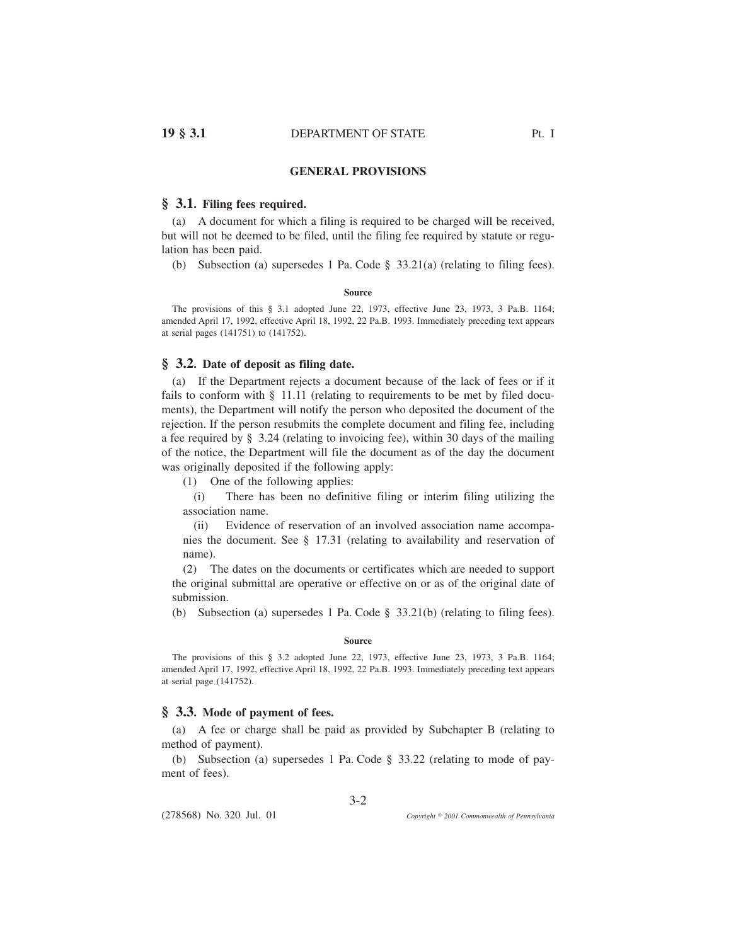# **GENERAL PROVISIONS**

## **§ 3.1. Filing fees required.**

(a) A document for which a filing is required to be charged will be received, but will not be deemed to be filed, until the filing fee required by statute or regulation has been paid.

(b) Subsection (a) supersedes 1 Pa. Code § 33.21(a) (relating to filing fees).

### **Source**

The provisions of this § 3.1 adopted June 22, 1973, effective June 23, 1973, 3 Pa.B. 1164; amended April 17, 1992, effective April 18, 1992, 22 Pa.B. 1993. Immediately preceding text appears at serial pages (141751) to (141752).

# **§ 3.2. Date of deposit as filing date.**

(a) If the Department rejects a document because of the lack of fees or if it fails to conform with  $\S$  11.11 (relating to requirements to be met by filed documents), the Department will notify the person who deposited the document of the rejection. If the person resubmits the complete document and filing fee, including a fee required by § 3.24 (relating to invoicing fee), within 30 days of the mailing of the notice, the Department will file the document as of the day the document was originally deposited if the following apply:

(1) One of the following applies:

(i) There has been no definitive filing or interim filing utilizing the association name.

(ii) Evidence of reservation of an involved association name accompanies the document. See § 17.31 (relating to availability and reservation of name).

(2) The dates on the documents or certificates which are needed to support the original submittal are operative or effective on or as of the original date of submission.

(b) Subsection (a) supersedes 1 Pa. Code § 33.21(b) (relating to filing fees).

#### **Source**

The provisions of this § 3.2 adopted June 22, 1973, effective June 23, 1973, 3 Pa.B. 1164; amended April 17, 1992, effective April 18, 1992, 22 Pa.B. 1993. Immediately preceding text appears at serial page (141752).

### **§ 3.3. Mode of payment of fees.**

(a) A fee or charge shall be paid as provided by Subchapter B (relating to method of payment).

(b) Subsection (a) supersedes 1 Pa. Code § 33.22 (relating to mode of payment of fees).

(278568) No. 320 Jul. 01

*2001 Commonwealth of Pennsylvania*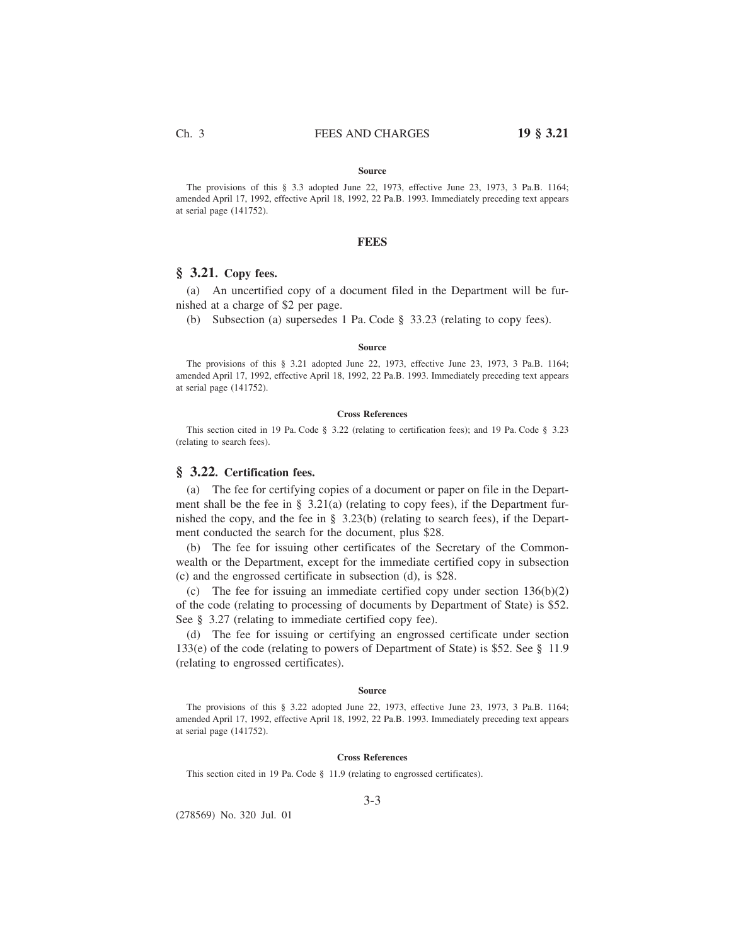#### **Source**

The provisions of this § 3.3 adopted June 22, 1973, effective June 23, 1973, 3 Pa.B. 1164; amended April 17, 1992, effective April 18, 1992, 22 Pa.B. 1993. Immediately preceding text appears at serial page (141752).

### **FEES**

## **§ 3.21. Copy fees.**

(a) An uncertified copy of a document filed in the Department will be furnished at a charge of \$2 per page.

(b) Subsection (a) supersedes 1 Pa. Code § 33.23 (relating to copy fees).

#### **Source**

The provisions of this § 3.21 adopted June 22, 1973, effective June 23, 1973, 3 Pa.B. 1164; amended April 17, 1992, effective April 18, 1992, 22 Pa.B. 1993. Immediately preceding text appears at serial page (141752).

### **Cross References**

This section cited in 19 Pa. Code § 3.22 (relating to certification fees); and 19 Pa. Code § 3.23 (relating to search fees).

# **§ 3.22. Certification fees.**

(a) The fee for certifying copies of a document or paper on file in the Department shall be the fee in § 3.21(a) (relating to copy fees), if the Department furnished the copy, and the fee in § 3.23(b) (relating to search fees), if the Department conducted the search for the document, plus \$28.

(b) The fee for issuing other certificates of the Secretary of the Commonwealth or the Department, except for the immediate certified copy in subsection (c) and the engrossed certificate in subsection (d), is \$28.

(c) The fee for issuing an immediate certified copy under section 136(b)(2) of the code (relating to processing of documents by Department of State) is \$52. See § 3.27 (relating to immediate certified copy fee).

(d) The fee for issuing or certifying an engrossed certificate under section 133(e) of the code (relating to powers of Department of State) is \$52. See § 11.9 (relating to engrossed certificates).

### **Source**

The provisions of this § 3.22 adopted June 22, 1973, effective June 23, 1973, 3 Pa.B. 1164; amended April 17, 1992, effective April 18, 1992, 22 Pa.B. 1993. Immediately preceding text appears at serial page (141752).

### **Cross References**

This section cited in 19 Pa. Code § 11.9 (relating to engrossed certificates).

(278569) No. 320 Jul. 01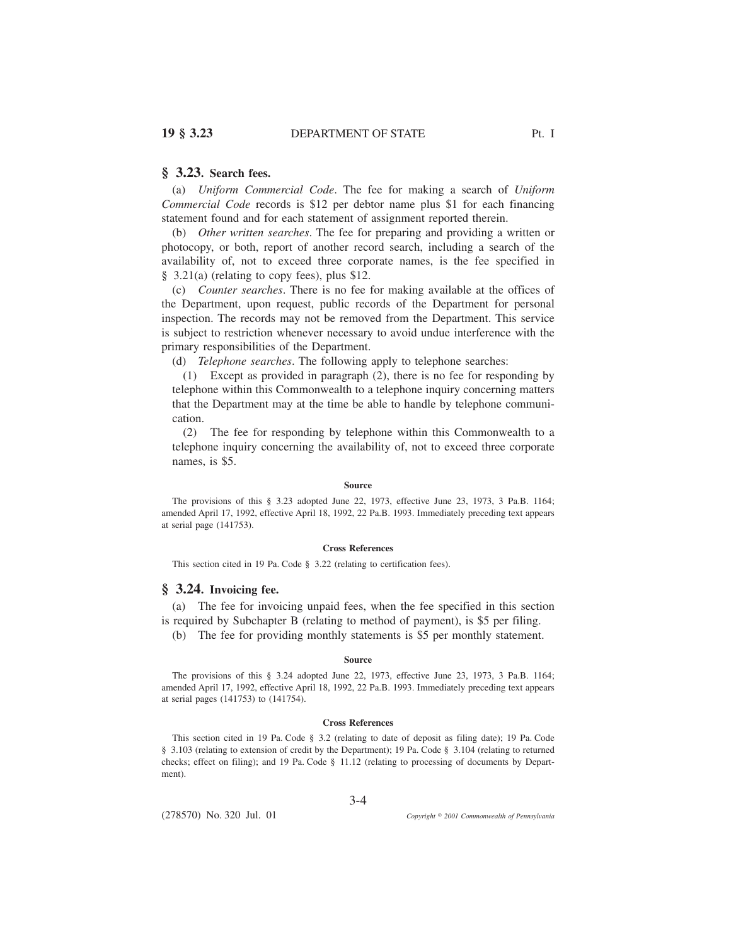# **§ 3.23. Search fees.**

(a) *Uniform Commercial Code*. The fee for making a search of *Uniform Commercial Code* records is \$12 per debtor name plus \$1 for each financing statement found and for each statement of assignment reported therein.

(b) *Other written searches*. The fee for preparing and providing a written or photocopy, or both, report of another record search, including a search of the availability of, not to exceed three corporate names, is the fee specified in § 3.21(a) (relating to copy fees), plus \$12.

(c) *Counter searches*. There is no fee for making available at the offices of the Department, upon request, public records of the Department for personal inspection. The records may not be removed from the Department. This service is subject to restriction whenever necessary to avoid undue interference with the primary responsibilities of the Department.

(d) *Telephone searches*. The following apply to telephone searches:

(1) Except as provided in paragraph (2), there is no fee for responding by telephone within this Commonwealth to a telephone inquiry concerning matters that the Department may at the time be able to handle by telephone communication.

(2) The fee for responding by telephone within this Commonwealth to a telephone inquiry concerning the availability of, not to exceed three corporate names, is \$5.

### **Source**

The provisions of this § 3.23 adopted June 22, 1973, effective June 23, 1973, 3 Pa.B. 1164; amended April 17, 1992, effective April 18, 1992, 22 Pa.B. 1993. Immediately preceding text appears at serial page (141753).

#### **Cross References**

This section cited in 19 Pa. Code § 3.22 (relating to certification fees).

# **§ 3.24. Invoicing fee.**

(a) The fee for invoicing unpaid fees, when the fee specified in this section is required by Subchapter B (relating to method of payment), is \$5 per filing.

(b) The fee for providing monthly statements is \$5 per monthly statement.

#### **Source**

The provisions of this § 3.24 adopted June 22, 1973, effective June 23, 1973, 3 Pa.B. 1164; amended April 17, 1992, effective April 18, 1992, 22 Pa.B. 1993. Immediately preceding text appears at serial pages (141753) to (141754).

#### **Cross References**

This section cited in 19 Pa. Code § 3.2 (relating to date of deposit as filing date); 19 Pa. Code § 3.103 (relating to extension of credit by the Department); 19 Pa. Code § 3.104 (relating to returned checks; effect on filing); and 19 Pa. Code § 11.12 (relating to processing of documents by Department).

3-4

(278570) No. 320 Jul. 01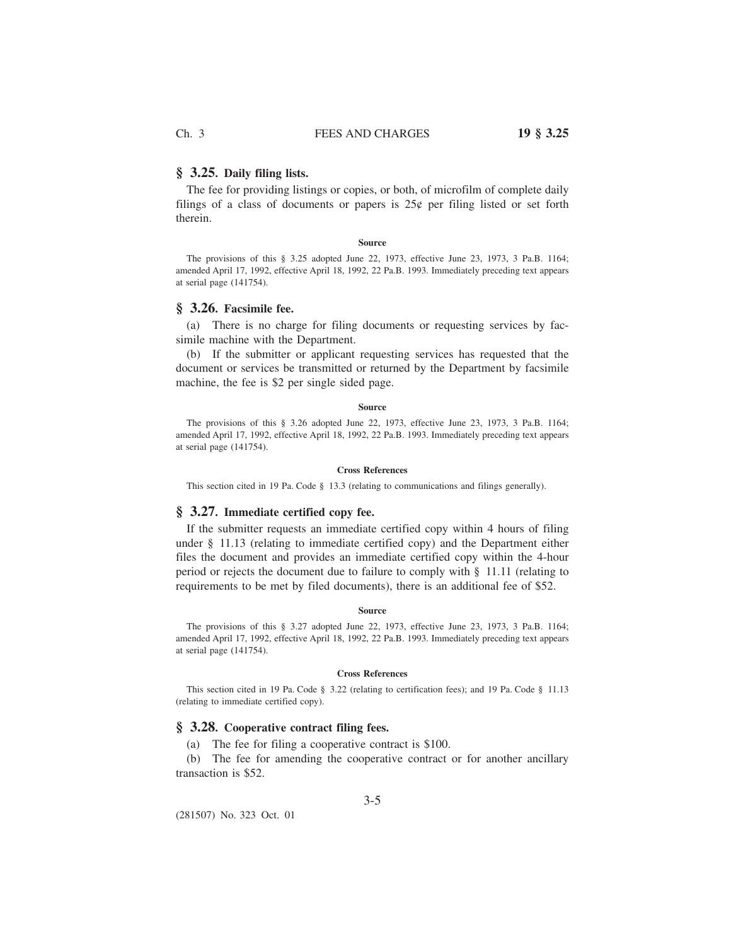### **§ 3.25. Daily filing lists.**

The fee for providing listings or copies, or both, of microfilm of complete daily filings of a class of documents or papers is  $25¢$  per filing listed or set forth therein.

### **Source**

The provisions of this § 3.25 adopted June 22, 1973, effective June 23, 1973, 3 Pa.B. 1164; amended April 17, 1992, effective April 18, 1992, 22 Pa.B. 1993. Immediately preceding text appears at serial page (141754).

# **§ 3.26. Facsimile fee.**

(a) There is no charge for filing documents or requesting services by facsimile machine with the Department.

(b) If the submitter or applicant requesting services has requested that the document or services be transmitted or returned by the Department by facsimile machine, the fee is \$2 per single sided page.

#### **Source**

The provisions of this § 3.26 adopted June 22, 1973, effective June 23, 1973, 3 Pa.B. 1164; amended April 17, 1992, effective April 18, 1992, 22 Pa.B. 1993. Immediately preceding text appears at serial page (141754).

### **Cross References**

This section cited in 19 Pa. Code § 13.3 (relating to communications and filings generally).

## **§ 3.27. Immediate certified copy fee.**

If the submitter requests an immediate certified copy within 4 hours of filing under § 11.13 (relating to immediate certified copy) and the Department either files the document and provides an immediate certified copy within the 4-hour period or rejects the document due to failure to comply with § 11.11 (relating to requirements to be met by filed documents), there is an additional fee of \$52.

### **Source**

The provisions of this § 3.27 adopted June 22, 1973, effective June 23, 1973, 3 Pa.B. 1164; amended April 17, 1992, effective April 18, 1992, 22 Pa.B. 1993. Immediately preceding text appears at serial page (141754).

#### **Cross References**

This section cited in 19 Pa. Code § 3.22 (relating to certification fees); and 19 Pa. Code § 11.13 (relating to immediate certified copy).

## **§ 3.28. Cooperative contract filing fees.**

(a) The fee for filing a cooperative contract is \$100.

(b) The fee for amending the cooperative contract or for another ancillary transaction is \$52.

(281507) No. 323 Oct. 01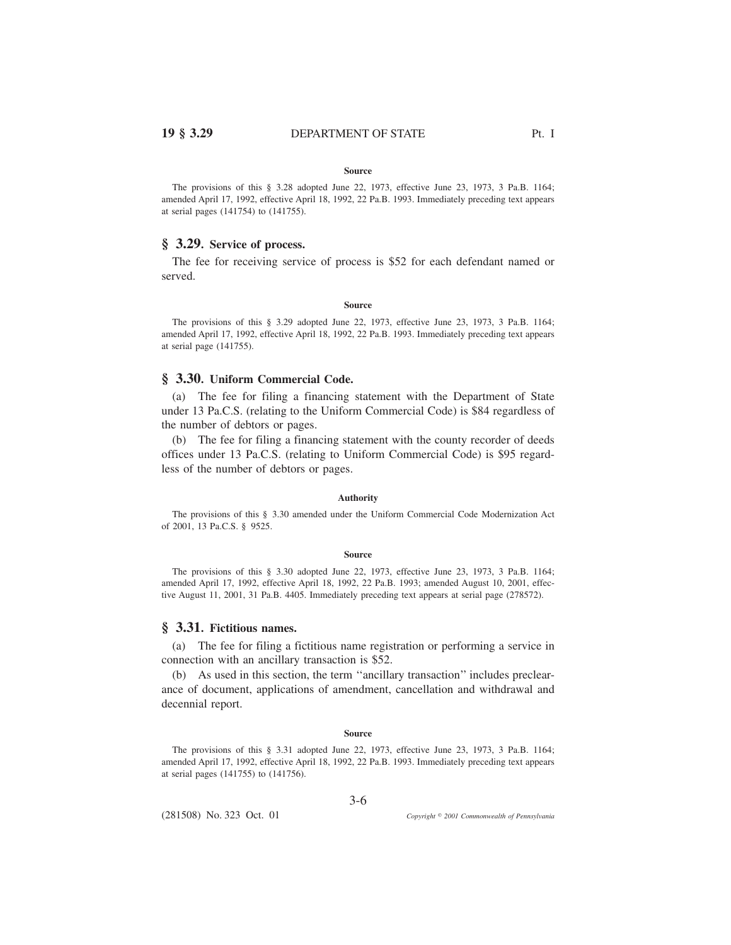# **19 § 3.29** DEPARTMENT OF STATE Pt. I

#### **Source**

The provisions of this § 3.28 adopted June 22, 1973, effective June 23, 1973, 3 Pa.B. 1164; amended April 17, 1992, effective April 18, 1992, 22 Pa.B. 1993. Immediately preceding text appears at serial pages (141754) to (141755).

# **§ 3.29. Service of process.**

The fee for receiving service of process is \$52 for each defendant named or served.

#### **Source**

The provisions of this § 3.29 adopted June 22, 1973, effective June 23, 1973, 3 Pa.B. 1164; amended April 17, 1992, effective April 18, 1992, 22 Pa.B. 1993. Immediately preceding text appears at serial page (141755).

### **§ 3.30. Uniform Commercial Code.**

(a) The fee for filing a financing statement with the Department of State under 13 Pa.C.S. (relating to the Uniform Commercial Code) is \$84 regardless of the number of debtors or pages.

(b) The fee for filing a financing statement with the county recorder of deeds offices under 13 Pa.C.S. (relating to Uniform Commercial Code) is \$95 regardless of the number of debtors or pages.

### **Authority**

The provisions of this § 3.30 amended under the Uniform Commercial Code Modernization Act of 2001, 13 Pa.C.S. § 9525.

#### **Source**

The provisions of this § 3.30 adopted June 22, 1973, effective June 23, 1973, 3 Pa.B. 1164; amended April 17, 1992, effective April 18, 1992, 22 Pa.B. 1993; amended August 10, 2001, effective August 11, 2001, 31 Pa.B. 4405. Immediately preceding text appears at serial page (278572).

# **§ 3.31. Fictitious names.**

(a) The fee for filing a fictitious name registration or performing a service in connection with an ancillary transaction is \$52.

(b) As used in this section, the term ''ancillary transaction'' includes preclearance of document, applications of amendment, cancellation and withdrawal and decennial report.

#### **Source**

The provisions of this § 3.31 adopted June 22, 1973, effective June 23, 1973, 3 Pa.B. 1164; amended April 17, 1992, effective April 18, 1992, 22 Pa.B. 1993. Immediately preceding text appears at serial pages (141755) to (141756).

3-6

(281508) No. 323 Oct. 01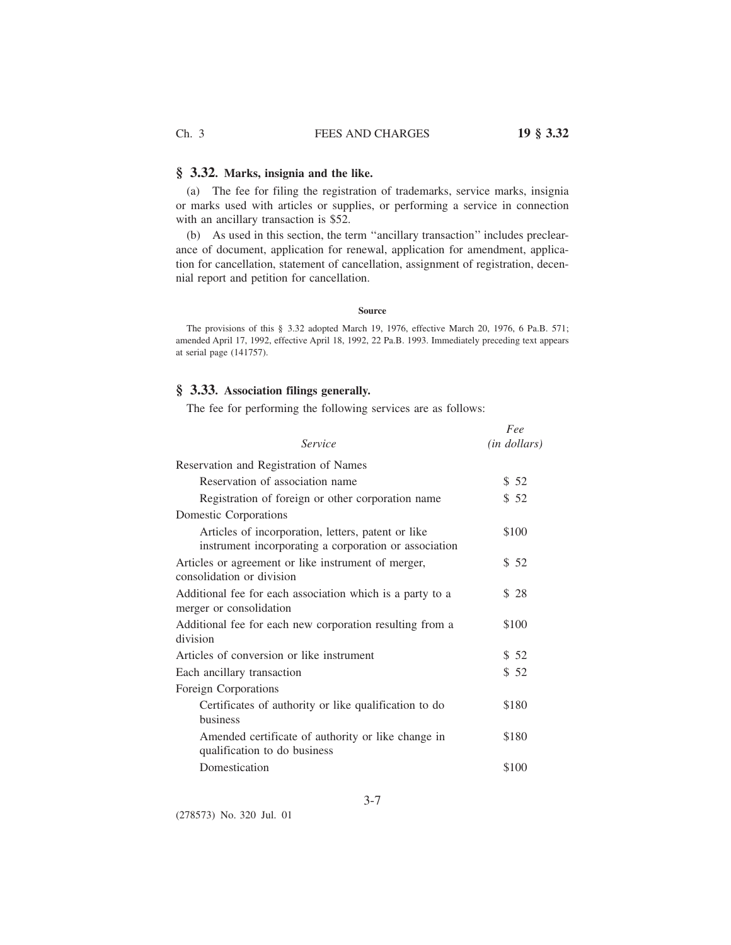# Ch. 3 FEES AND CHARGES **19 § 3.32**

# **§ 3.32. Marks, insignia and the like.**

(a) The fee for filing the registration of trademarks, service marks, insignia or marks used with articles or supplies, or performing a service in connection with an ancillary transaction is \$52.

(b) As used in this section, the term ''ancillary transaction'' includes preclearance of document, application for renewal, application for amendment, application for cancellation, statement of cancellation, assignment of registration, decennial report and petition for cancellation.

#### **Source**

The provisions of this § 3.32 adopted March 19, 1976, effective March 20, 1976, 6 Pa.B. 571; amended April 17, 1992, effective April 18, 1992, 22 Pa.B. 1993. Immediately preceding text appears at serial page (141757).

# **§ 3.33. Association filings generally.**

The fee for performing the following services are as follows:

|                                                                                                             | Fee          |
|-------------------------------------------------------------------------------------------------------------|--------------|
| Service                                                                                                     | (in dollars) |
| Reservation and Registration of Names                                                                       |              |
| Reservation of association name                                                                             | \$52         |
| Registration of foreign or other corporation name                                                           | \$52         |
| Domestic Corporations                                                                                       |              |
| Articles of incorporation, letters, patent or like<br>instrument incorporating a corporation or association | \$100        |
| Articles or agreement or like instrument of merger,<br>consolidation or division                            | \$52         |
| Additional fee for each association which is a party to a<br>merger or consolidation                        | \$28         |
| Additional fee for each new corporation resulting from a<br>division                                        | \$100        |
| Articles of conversion or like instrument                                                                   | \$52         |
| Each ancillary transaction                                                                                  | \$52         |
| Foreign Corporations                                                                                        |              |
| Certificates of authority or like qualification to do<br><b>business</b>                                    | \$180        |
| Amended certificate of authority or like change in<br>qualification to do business                          | \$180        |
| Domestication                                                                                               | \$100        |

(278573) No. 320 Jul. 01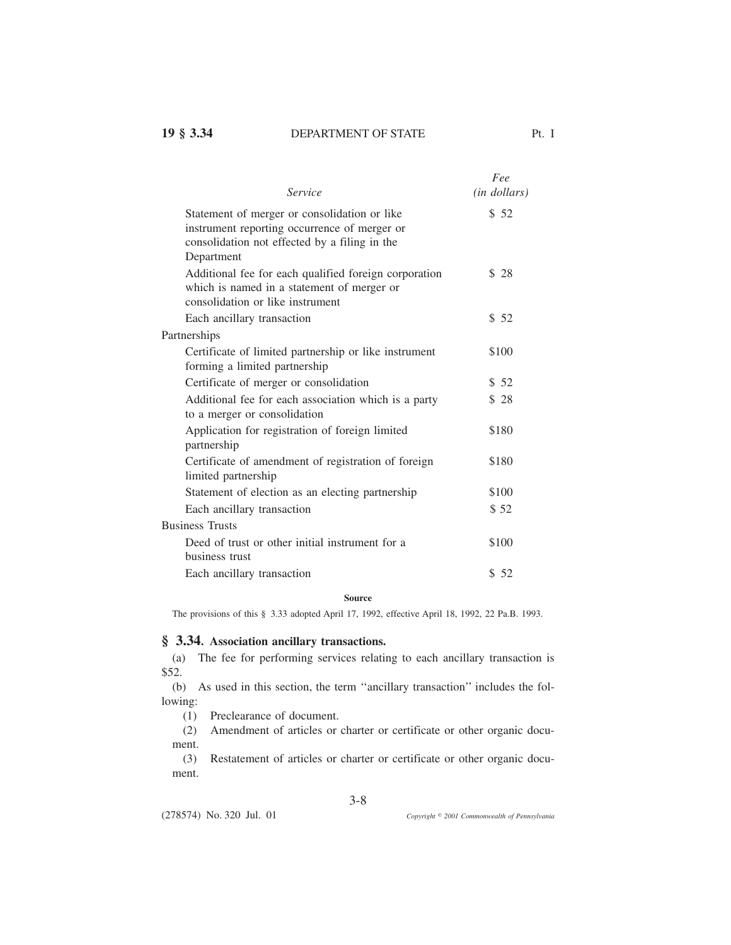| Service                                                                                                                                                     | Fee<br>( <i>in dollars</i> ) |
|-------------------------------------------------------------------------------------------------------------------------------------------------------------|------------------------------|
| Statement of merger or consolidation or like<br>instrument reporting occurrence of merger or<br>consolidation not effected by a filing in the<br>Department | \$52                         |
| Additional fee for each qualified foreign corporation<br>which is named in a statement of merger or<br>consolidation or like instrument                     | \$28                         |
| Each ancillary transaction                                                                                                                                  | \$52                         |
| Partnerships                                                                                                                                                |                              |
| Certificate of limited partnership or like instrument<br>forming a limited partnership                                                                      | \$100                        |
| Certificate of merger or consolidation                                                                                                                      | \$52                         |
| Additional fee for each association which is a party<br>to a merger or consolidation                                                                        | \$28                         |
| Application for registration of foreign limited<br>partnership                                                                                              | \$180                        |
| Certificate of amendment of registration of foreign<br>limited partnership                                                                                  | \$180                        |
| Statement of election as an electing partnership                                                                                                            | \$100                        |
| Each ancillary transaction                                                                                                                                  | \$52                         |
| <b>Business Trusts</b>                                                                                                                                      |                              |
| Deed of trust or other initial instrument for a<br>business trust                                                                                           | \$100                        |
| Each ancillary transaction                                                                                                                                  | \$52                         |

## **Source**

The provisions of this § 3.33 adopted April 17, 1992, effective April 18, 1992, 22 Pa.B. 1993.

## **§ 3.34. Association ancillary transactions.**

(a) The fee for performing services relating to each ancillary transaction is \$52.

(b) As used in this section, the term ''ancillary transaction'' includes the following:

(1) Preclearance of document.

(2) Amendment of articles or charter or certificate or other organic document.

(3) Restatement of articles or charter or certificate or other organic document.

3-8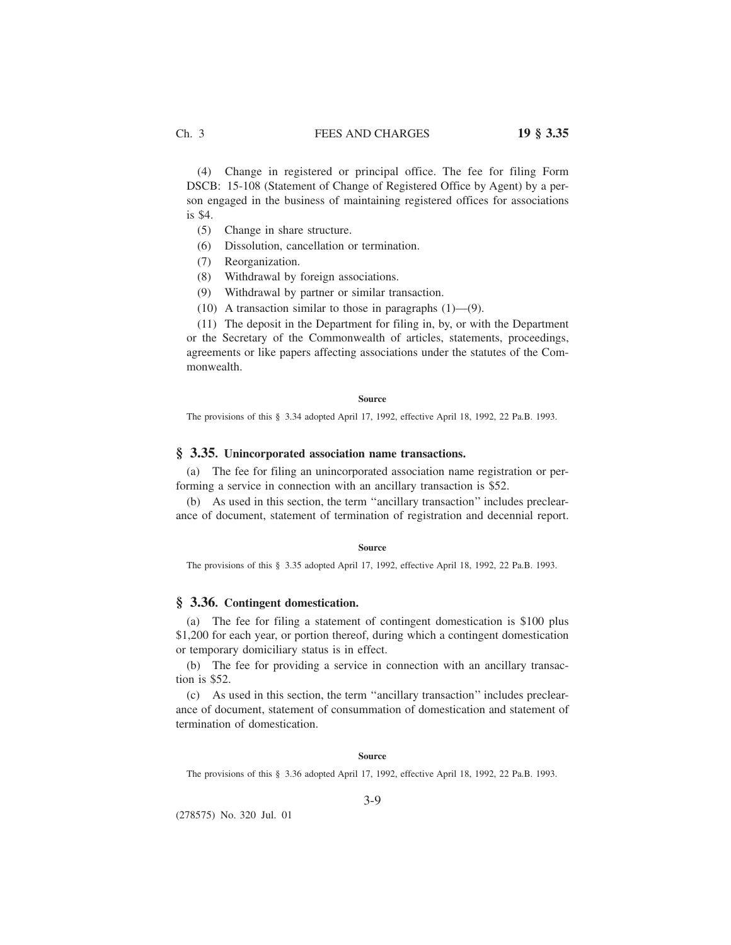(4) Change in registered or principal office. The fee for filing Form DSCB: 15-108 (Statement of Change of Registered Office by Agent) by a person engaged in the business of maintaining registered offices for associations is \$4.

- (5) Change in share structure.
- (6) Dissolution, cancellation or termination.
- (7) Reorganization.
- (8) Withdrawal by foreign associations.
- (9) Withdrawal by partner or similar transaction.
- (10) A transaction similar to those in paragraphs (1)—(9).

(11) The deposit in the Department for filing in, by, or with the Department or the Secretary of the Commonwealth of articles, statements, proceedings, agreements or like papers affecting associations under the statutes of the Commonwealth.

**Source**

The provisions of this § 3.34 adopted April 17, 1992, effective April 18, 1992, 22 Pa.B. 1993.

## **§ 3.35. Unincorporated association name transactions.**

(a) The fee for filing an unincorporated association name registration or performing a service in connection with an ancillary transaction is \$52.

(b) As used in this section, the term ''ancillary transaction'' includes preclearance of document, statement of termination of registration and decennial report.

#### **Source**

The provisions of this § 3.35 adopted April 17, 1992, effective April 18, 1992, 22 Pa.B. 1993.

# **§ 3.36. Contingent domestication.**

(a) The fee for filing a statement of contingent domestication is \$100 plus \$1,200 for each year, or portion thereof, during which a contingent domestication or temporary domiciliary status is in effect.

(b) The fee for providing a service in connection with an ancillary transaction is \$52.

(c) As used in this section, the term ''ancillary transaction'' includes preclearance of document, statement of consummation of domestication and statement of termination of domestication.

#### **Source**

The provisions of this § 3.36 adopted April 17, 1992, effective April 18, 1992, 22 Pa.B. 1993.

3-9

(278575) No. 320 Jul. 01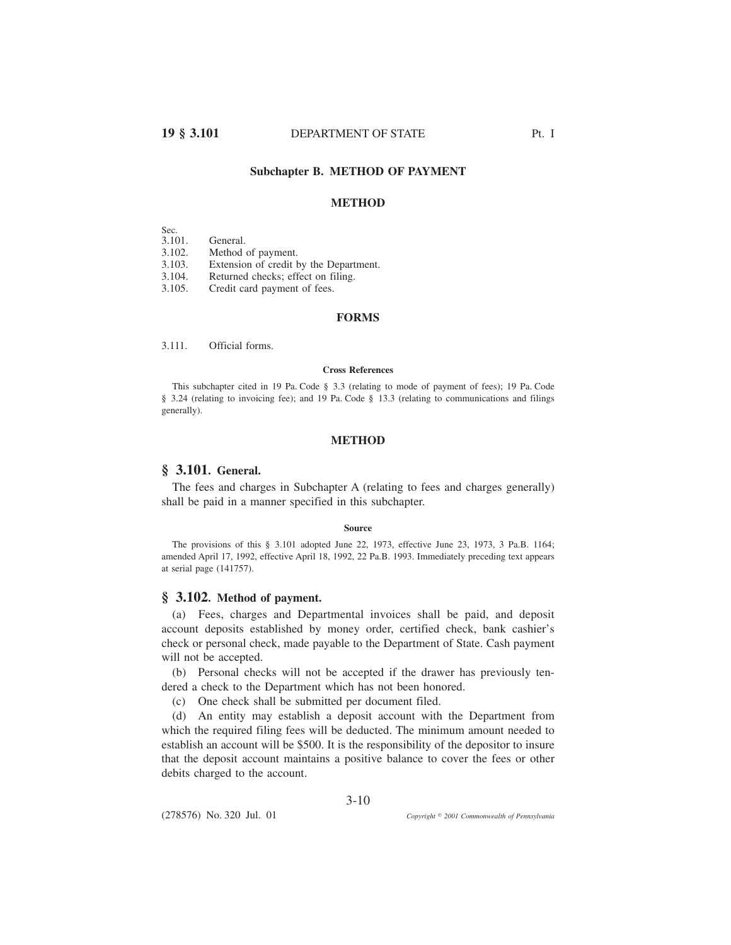# **19 § 3.101** DEPARTMENT OF STATE Pt. I

# **Subchapter B. METHOD OF PAYMENT**

## **METHOD**

Sec.<br>3.101. General. 3.102. Method of payment. 3.103. Extension of credit by the Department. 3.104. Returned checks; effect on filing. 3.105. Credit card payment of fees.

## **FORMS**

3.111. Official forms.

### **Cross References**

This subchapter cited in 19 Pa. Code § 3.3 (relating to mode of payment of fees); 19 Pa. Code § 3.24 (relating to invoicing fee); and 19 Pa. Code § 13.3 (relating to communications and filings generally).

# **METHOD**

# **§ 3.101. General.**

The fees and charges in Subchapter A (relating to fees and charges generally) shall be paid in a manner specified in this subchapter.

#### **Source**

The provisions of this § 3.101 adopted June 22, 1973, effective June 23, 1973, 3 Pa.B. 1164; amended April 17, 1992, effective April 18, 1992, 22 Pa.B. 1993. Immediately preceding text appears at serial page (141757).

# **§ 3.102. Method of payment.**

(a) Fees, charges and Departmental invoices shall be paid, and deposit account deposits established by money order, certified check, bank cashier's check or personal check, made payable to the Department of State. Cash payment will not be accepted.

(b) Personal checks will not be accepted if the drawer has previously tendered a check to the Department which has not been honored.

(c) One check shall be submitted per document filed.

(d) An entity may establish a deposit account with the Department from which the required filing fees will be deducted. The minimum amount needed to establish an account will be \$500. It is the responsibility of the depositor to insure that the deposit account maintains a positive balance to cover the fees or other debits charged to the account.

(278576) No. 320 Jul. 01

*2001 Commonwealth of Pennsylvania*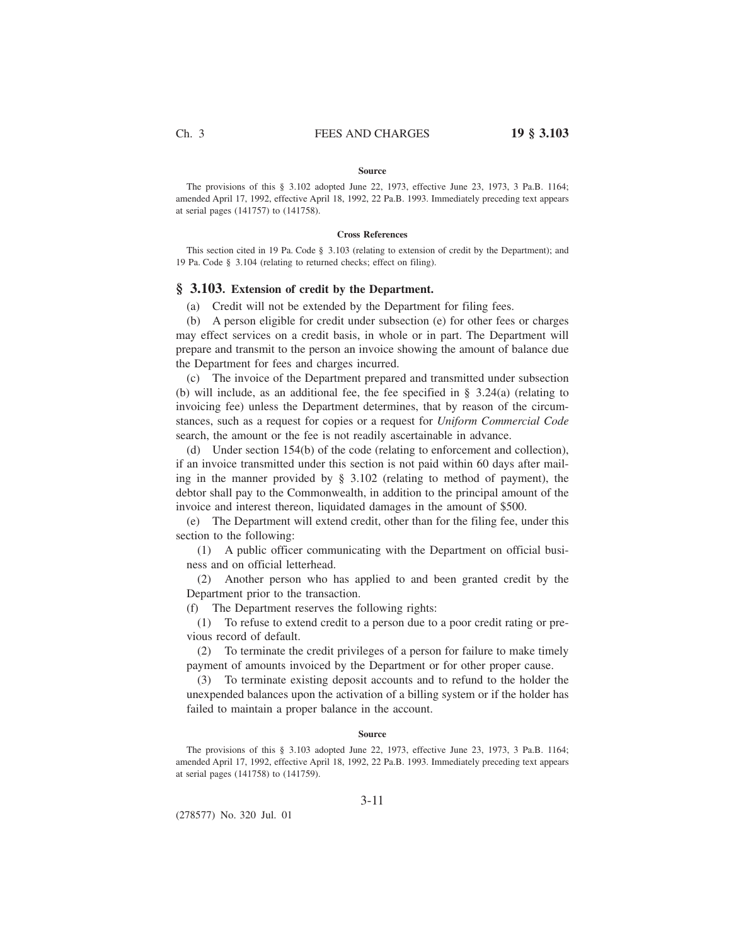#### **Source**

The provisions of this § 3.102 adopted June 22, 1973, effective June 23, 1973, 3 Pa.B. 1164; amended April 17, 1992, effective April 18, 1992, 22 Pa.B. 1993. Immediately preceding text appears at serial pages (141757) to (141758).

### **Cross References**

This section cited in 19 Pa. Code § 3.103 (relating to extension of credit by the Department); and 19 Pa. Code § 3.104 (relating to returned checks; effect on filing).

## **§ 3.103. Extension of credit by the Department.**

(a) Credit will not be extended by the Department for filing fees.

(b) A person eligible for credit under subsection (e) for other fees or charges may effect services on a credit basis, in whole or in part. The Department will prepare and transmit to the person an invoice showing the amount of balance due the Department for fees and charges incurred.

(c) The invoice of the Department prepared and transmitted under subsection (b) will include, as an additional fee, the fee specified in § 3.24(a) (relating to invoicing fee) unless the Department determines, that by reason of the circumstances, such as a request for copies or a request for *Uniform Commercial Code* search, the amount or the fee is not readily ascertainable in advance.

(d) Under section 154(b) of the code (relating to enforcement and collection), if an invoice transmitted under this section is not paid within 60 days after mailing in the manner provided by § 3.102 (relating to method of payment), the debtor shall pay to the Commonwealth, in addition to the principal amount of the invoice and interest thereon, liquidated damages in the amount of \$500.

(e) The Department will extend credit, other than for the filing fee, under this section to the following:

(1) A public officer communicating with the Department on official business and on official letterhead.

(2) Another person who has applied to and been granted credit by the Department prior to the transaction.

(f) The Department reserves the following rights:

(1) To refuse to extend credit to a person due to a poor credit rating or previous record of default.

(2) To terminate the credit privileges of a person for failure to make timely payment of amounts invoiced by the Department or for other proper cause.

(3) To terminate existing deposit accounts and to refund to the holder the unexpended balances upon the activation of a billing system or if the holder has failed to maintain a proper balance in the account.

### **Source**

The provisions of this § 3.103 adopted June 22, 1973, effective June 23, 1973, 3 Pa.B. 1164; amended April 17, 1992, effective April 18, 1992, 22 Pa.B. 1993. Immediately preceding text appears at serial pages (141758) to (141759).

(278577) No. 320 Jul. 01